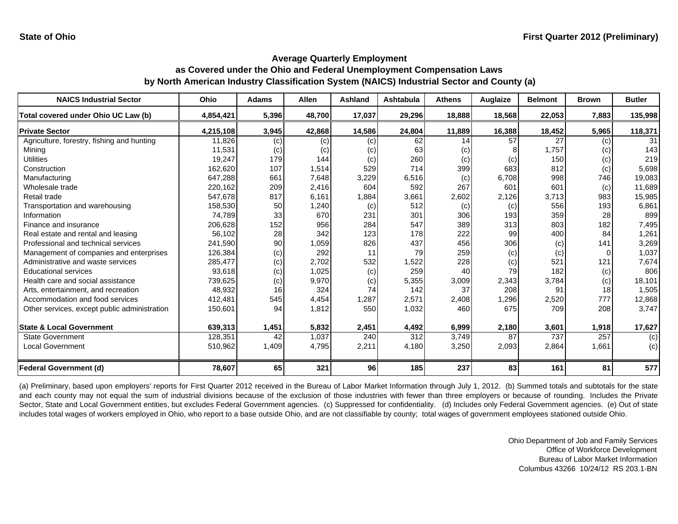| <b>NAICS Industrial Sector</b>               | Ohio      | <b>Adams</b> | Allen  | <b>Ashland</b>  | <b>Ashtabula</b> | <b>Athens</b> | Auglaize | <b>Belmont</b> | <b>Brown</b> | <b>Butler</b> |
|----------------------------------------------|-----------|--------------|--------|-----------------|------------------|---------------|----------|----------------|--------------|---------------|
| Total covered under Ohio UC Law (b)          | 4,854,421 | 5,396        | 48,700 | 17,037          | 29,296           | 18,888        | 18,568   | 22,053         | 7,883        | 135,998       |
| <b>Private Sector</b>                        | 4,215,108 | 3,945        | 42,868 | 14,586          | 24,804           | 11,889        | 16,388   | 18,452         | 5,965        | 118,371       |
| Agriculture, forestry, fishing and hunting   | 11,826    | (c)          | (c)    | (c)             | 62               | 14            | 57       | 27             | (c)          | 31            |
| Mining                                       | 11,531    | (c)          | (c)    | (c)             | 63               | (c)           |          | 1,757          | (c)          | 143           |
| <b>Utilities</b>                             | 19,247    | 179          | 144    | (c)             | 260              | (c)           | (c)      | 150            | (c)          | 219           |
| Construction                                 | 162,620   | 107          | 1,514  | 529             | 714              | 399           | 683      | 812            | (c)          | 5,698         |
| Manufacturing                                | 647,288   | 661          | 7,648  | 3,229           | 6,516            | (c)           | 6,708    | 998            | 746          | 19,083        |
| Wholesale trade                              | 220,162   | 209          | 2,416  | 604             | 592              | 267           | 601      | 601            | (c)          | 11,689        |
| Retail trade                                 | 547,678   | 817          | 6,161  | 1,884           | 3,661            | 2,602         | 2,126    | 3,713          | 983          | 15,985        |
| Transportation and warehousing               | 158,530   | 50           | 1,240  | (c)             | 512              | (c)           | (c)      | 556            | 193          | 6,861         |
| Information                                  | 74,789    | 33           | 670    | 231             | 301              | 306           | 193      | 359            | 28           | 899           |
| Finance and insurance                        | 206,628   | 152          | 956    | 284             | 547              | 389           | 313      | 803            | 182          | 7,495         |
| Real estate and rental and leasing           | 56,102    | 28           | 342    | 123             | 178              | 222           | 99       | 400            | 84           | 1,261         |
| Professional and technical services          | 241,590   | 90           | 1,059  | 826             | 437              | 456           | 306      | (c)            | 141          | 3,269         |
| Management of companies and enterprises      | 126,384   | (c)          | 292    | 11              | 79               | 259           | (c)      | (c)            |              | 1,037         |
| Administrative and waste services            | 285,477   | (c)          | 2,702  | 532             | 1,522            | 228           | (c)      | 521            | 121          | 7,674         |
| <b>Educational services</b>                  | 93,618    | (c)          | 1,025  | (c)             | 259              | 40            | 79       | 182            | (c)          | 806           |
| Health care and social assistance            | 739,625   | (c)          | 9,970  | (c)             | 5,355            | 3,009         | 2,343    | 3,784          | (c)          | 18,101        |
| Arts, entertainment, and recreation          | 48,932    | 16           | 324    | 74              | 142              | 37            | 208      | 91             | 18           | 1,505         |
| Accommodation and food services              | 412,481   | 545          | 4,454  | 1,287           | 2,571            | 2,408         | 1,296    | 2,520          | 777          | 12,868        |
| Other services, except public administration | 150,601   | 94           | 1,812  | 550             | 1,032            | 460           | 675      | 709            | 208          | 3,747         |
| <b>State &amp; Local Government</b>          | 639,313   | 1,451        | 5,832  | 2,451           | 4,492            | 6,999         | 2,180    | 3,601          | 1,918        | 17,627        |
| <b>State Government</b>                      | 128,351   | 42           | 1,037  | 240             | 312              | 3,749         | 87       | 737            | 257          | (c)           |
| <b>Local Government</b>                      | 510,962   | 1,409        | 4,795  | 2,211           | 4,180            | 3,250         | 2,093    | 2,864          | 1,661        | (c)           |
| Federal Government (d)                       | 78,607    | 65           | 321    | 96 <sub>1</sub> | 185              | 237           | 83       | 161            | 81           | 577           |

(a) Preliminary, based upon employers' reports for First Quarter 2012 received in the Bureau of Labor Market Information through July 1, 2012. (b) Summed totals and subtotals for the state and each county may not equal the sum of industrial divisions because of the exclusion of those industries with fewer than three employers or because of rounding. Includes the Private Sector, State and Local Government entities, but excludes Federal Government agencies. (c) Suppressed for confidentiality. (d) Includes only Federal Government agencies. (e) Out of state includes total wages of workers employed in Ohio, who report to a base outside Ohio, and are not classifiable by county; total wages of government employees stationed outside Ohio.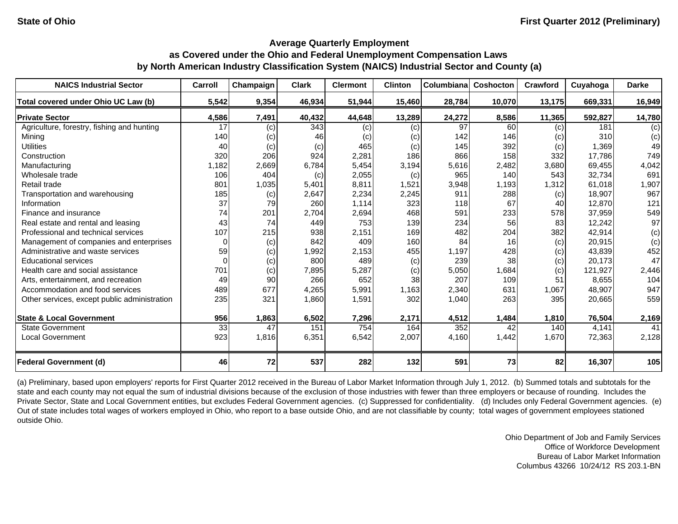| <b>NAICS Industrial Sector</b>               | Carroll  | Champaign | <b>Clark</b> | <b>Clermont</b> | <b>Clinton</b> | Columbiana | Coshocton | Crawford | Cuyahoga | <b>Darke</b> |
|----------------------------------------------|----------|-----------|--------------|-----------------|----------------|------------|-----------|----------|----------|--------------|
| Total covered under Ohio UC Law (b)          | 5,542    | 9,354     | 46,934       | 51,944          | 15,460         | 28,784     | 10,070    | 13,175   | 669,331  | 16,949       |
| <b>Private Sector</b>                        | 4,586    | 7,491     | 40,432       | 44,648          | 13,289         | 24,272     | 8,586     | 11,365   | 592,827  | 14,780       |
| Agriculture, forestry, fishing and hunting   | 17       | (c)       | 343          | (c)             | (c)            | 97         | 60        | (c)      | 181      | (c)          |
| Mining                                       | 140      | (c)       | 46           | (c)             | (c)            | 142        | 146       | (c)      | 310      | (c)          |
| <b>Utilities</b>                             | 40       | (c)       | (c)          | 465             | (c)            | 145        | 392       | (c)      | 1,369    | 49           |
| Construction                                 | 320      | 206       | 924          | 2,281           | 186            | 866        | 158       | 332      | 17,786   | 749          |
| Manufacturing                                | 1,182    | 2,669     | 6,784        | 5,454           | 3,194          | 5,616      | 2,482     | 3,680    | 69,455   | 4,042        |
| Wholesale trade                              | 106      | 404       | (c)          | 2,055           | (c)            | 965        | 140       | 543      | 32,734   | 691          |
| Retail trade                                 | 801      | 1,035     | 5,401        | 8,811           | 1,521          | 3,948      | 1,193     | 1,312    | 61,018   | 1,907        |
| Transportation and warehousing               | 185      | (c)       | 2,647        | 2,234           | 2,245          | 911        | 288       | (c)      | 18,907   | 967          |
| Information                                  | 37       | 79        | 260          | 1,114           | 323            | 118        | 67        | 40       | 12.870   | 121          |
| Finance and insurance                        | 74       | 201       | 2,704        | 2,694           | 468            | 591        | 233       | 578      | 37,959   | 549          |
| Real estate and rental and leasing           | 43       | 74        | 449          | 753             | 139            | 234        | 56        | 83       | 12,242   | 97           |
| Professional and technical services          | 107      | 215       | 938          | 2,151           | 169            | 482        | 204       | 382      | 42,914   | (c)          |
| Management of companies and enterprises      | $\Omega$ | (c)       | 842          | 409             | 160            | 84         | 16        | (c)      | 20,915   | (c)          |
| Administrative and waste services            | 59       | (c)       | 1,992        | 2,153           | 455            | 1,197      | 428       | (c)      | 43,839   | 452          |
| <b>Educational services</b>                  | $\Omega$ | (c)       | 800          | 489             | (c)            | 239        | 38        | (c)      | 20.173   | 47           |
| Health care and social assistance            | 701      | (c)       | 7,895        | 5,287           | (c)            | 5,050      | 1,684     | (c)      | 121.927  | 2,446        |
| Arts, entertainment, and recreation          | 49       | 90        | 266          | 652             | 38             | 207        | 109       | 51       | 8,655    | 104          |
| Accommodation and food services              | 489      | 677       | 4,265        | 5,991           | 1,163          | 2,340      | 631       | 1,067    | 48,907   | 947          |
| Other services, except public administration | 235      | 321       | 1,860        | 1,591           | 302            | 1,040      | 263       | 395      | 20,665   | 559          |
| <b>State &amp; Local Government</b>          | 956      | 1,863     | 6,502        | 7,296           | 2,171          | 4,512      | 1,484     | 1,810    | 76,504   | 2,169        |
| <b>State Government</b>                      | 33       | 47        | 151          | 754             | 164            | 352        | 42        | 140      | 4,141    | 41           |
| <b>Local Government</b>                      | 923      | 1,816     | 6,351        | 6,542           | 2,007          | 4,160      | 1,442     | 1,670    | 72,363   | 2,128        |
| <b>Federal Government (d)</b>                | 46       | 72        | 537          | 282             | 132            | 591        | 73        | 82       | 16,307   | 105          |

(a) Preliminary, based upon employers' reports for First Quarter 2012 received in the Bureau of Labor Market Information through July 1, 2012. (b) Summed totals and subtotals for the state and each county may not equal the sum of industrial divisions because of the exclusion of those industries with fewer than three employers or because of rounding. Includes the Private Sector, State and Local Government entities, but excludes Federal Government agencies. (c) Suppressed for confidentiality. (d) Includes only Federal Government agencies. (e) Out of state includes total wages of workers employed in Ohio, who report to a base outside Ohio, and are not classifiable by county; total wages of government employees stationed outside Ohio.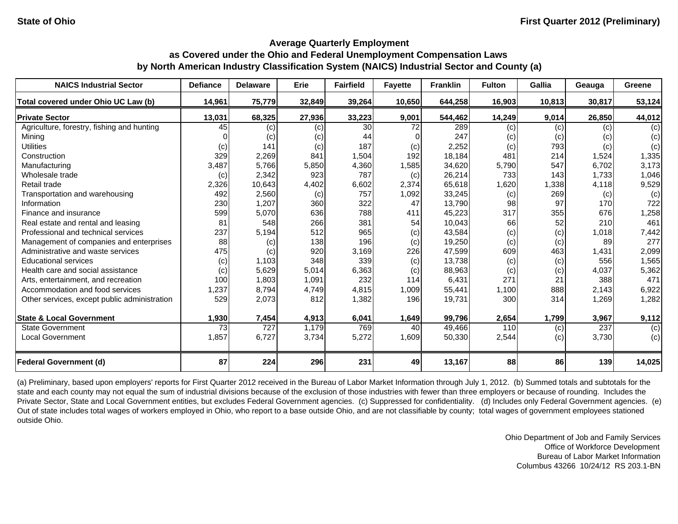| <b>NAICS Industrial Sector</b>               | <b>Defiance</b> | <b>Delaware</b>  | Erie   | <b>Fairfield</b> | <b>Fayette</b> | <b>Franklin</b> | <b>Fulton</b> | <b>Gallia</b> | Geauga | Greene         |
|----------------------------------------------|-----------------|------------------|--------|------------------|----------------|-----------------|---------------|---------------|--------|----------------|
| Total covered under Ohio UC Law (b)          | 14,961          | 75,779           | 32,849 | 39,264           | 10,650         | 644,258         | 16,903        | 10,813        | 30,817 | 53,124         |
| <b>Private Sector</b>                        | 13,031          | 68,325           | 27,936 | 33,223           | 9,001          | 544,462         | 14,249        | 9,014         | 26,850 | 44,012         |
| Agriculture, forestry, fishing and hunting   | 45              | (c)              | (c)    | 30               | 72             | 289             | (c)           | (c)           | (c)    | (c)            |
| Minina                                       |                 | (c)              | (c)    | 44               |                | 247             | (c)           | (c)           | (c)    | (c)            |
| <b>Utilities</b>                             | (c)             | 141              | (c)    | 187              | (c)            | 2,252           | (c)           | 793           | (c)    | (c)            |
| Construction                                 | 329             | 2,269            | 841    | 1,504            | 192            | 18,184          | 481           | 214           | 1,524  | 1,335          |
| Manufacturing                                | 3,487           | 5,766            | 5,850  | 4,360            | 1,585          | 34,620          | 5,790         | 547           | 6,702  | 3,173          |
| Wholesale trade                              | (c)             | 2,342            | 923    | 787              | (c)            | 26,214          | 733           | 143           | 1,733  | 1,046          |
| Retail trade                                 | 2,326           | 10,643           | 4,402  | 6,602            | 2,374          | 65,618          | 1,620         | 1,338         | 4,118  | 9,529          |
| Transportation and warehousing               | 492             | 2,560            | (c)    | 757              | 1,092          | 33,245          | (c)           | 269           | (c)    | (c)            |
| Information                                  | 230             | 1,207            | 360    | 322              | 47             | 13,790          | 98            | 97            | 170    | 722            |
| Finance and insurance                        | 599             | 5,070            | 636    | 788              | 411            | 45,223          | 317           | 355           | 676    | 1,258          |
| Real estate and rental and leasing           | 81              | 548              | 266    | 381              | 54             | 10,043          | 66            | 52            | 210    | 461            |
| Professional and technical services          | 237             | 5,194            | 512    | 965              | (c)            | 43,584          | (c)           | (c)           | 1,018  | 7,442          |
| Management of companies and enterprises      | 88              | (c)              | 138    | 196              | (c)            | 19,250          | (c)           | (c)           | 89     | 277            |
| Administrative and waste services            | 475             | (c)              | 920    | 3,169            | 226            | 47,599          | 609           | 463           | 1,431  | 2,099          |
| <b>Educational services</b>                  | (c)             | 1,103            | 348    | 339              | (c)            | 13,738          | (c)           | (c)           | 556    | 1,565          |
| Health care and social assistance            | (c)             | 5,629            | 5,014  | 6,363            | (c)            | 88,963          | (c)           | (c)           | 4,037  | 5,362          |
| Arts, entertainment, and recreation          | 100             | 1,803            | 1,091  | 232              | 114            | 6,431           | 271           | 21            | 388    | 471            |
| Accommodation and food services              | 1,237           | 8,794            | 4,749  | 4,815            | 1,009          | 55,441          | 1,100         | 888           | 2,143  | 6,922          |
| Other services, except public administration | 529             | 2,073            | 812    | 1,382            | 196            | 19,731          | 300           | 314           | 1,269  | 1,282          |
| <b>State &amp; Local Government</b>          | 1,930           | 7,454            | 4,913  | 6,041            | 1,649          | 99,796          | 2,654         | 1,799         | 3,967  | 9,112          |
| <b>State Government</b>                      | $\overline{73}$ | $\overline{727}$ | 1,179  | 769              | 40             | 49,466          | 110           | (c)           | 237    | $\overline{c}$ |
| Local Government                             | 1,857           | 6,727            | 3,734  | 5,272            | 1,609          | 50,330          | 2,544         | (c)           | 3,730  | (c)            |
| <b>Federal Government (d)</b>                | 87              | 224              | 296    | 231              | 49             | 13,167          | 88            | 86            | 139    | 14,025         |

(a) Preliminary, based upon employers' reports for First Quarter 2012 received in the Bureau of Labor Market Information through July 1, 2012. (b) Summed totals and subtotals for the state and each county may not equal the sum of industrial divisions because of the exclusion of those industries with fewer than three employers or because of rounding. Includes the Private Sector, State and Local Government entities, but excludes Federal Government agencies. (c) Suppressed for confidentiality. (d) Includes only Federal Government agencies. (e) Out of state includes total wages of workers employed in Ohio, who report to a base outside Ohio, and are not classifiable by county; total wages of government employees stationed outside Ohio.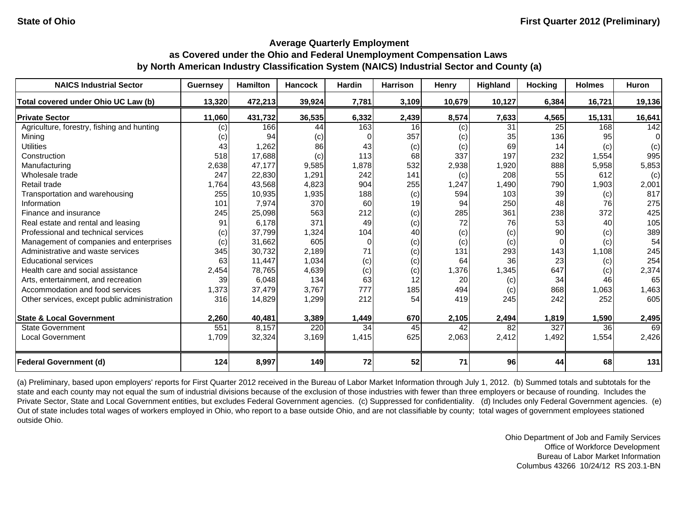| <b>NAICS Industrial Sector</b>               | <b>Guernsey</b> | <b>Hamilton</b> | <b>Hancock</b> | <b>Hardin</b> | <b>Harrison</b> | Henry  | Highland | <b>Hocking</b>  | <b>Holmes</b> | <b>Huron</b> |
|----------------------------------------------|-----------------|-----------------|----------------|---------------|-----------------|--------|----------|-----------------|---------------|--------------|
| Total covered under Ohio UC Law (b)          | 13,320          | 472,213         | 39,924         | 7,781         | 3,109           | 10,679 | 10,127   | 6,384           | 16,721        | 19,136       |
| <b>Private Sector</b>                        | 11,060          | 431,732         | 36,535         | 6,332         | 2,439           | 8,574  | 7,633    | 4,565           | 15,131        | 16,641       |
| Agriculture, forestry, fishing and hunting   | (c)             | 166             | 44             | 163           | 16              | (c)    | 31       | 25 <sub>l</sub> | 168           | 142          |
| Mining                                       | (c)             | 94              | (c)            |               | 357             | (c)    | 35       | 136             | 95            | $\Omega$     |
| <b>Utilities</b>                             | 43              | 1,262           | 86             | 43            | (c)             | (c)    | 69       | 14              | (c)           | (c)          |
| Construction                                 | 518             | 17,688          | (c)            | 113           | 68              | 337    | 197      | 232             | 1,554         | 995          |
| Manufacturing                                | 2,638           | 47,177          | 9,585          | 1,878         | 532             | 2,938  | 1,920    | 888             | 5,958         | 5,853        |
| Wholesale trade                              | 247             | 22,830          | 1,291          | 242           | 141             | (c)    | 208      | 55              | 612           | (c)          |
| Retail trade                                 | 1,764           | 43,568          | 4,823          | 904           | 255             | 1,247  | 1,490    | 790             | 1,903         | 2,001        |
| Transportation and warehousing               | 255             | 10,935          | 1,935          | 188           | (c)             | 594    | 103      | 39              | (c)           | 817          |
| Information                                  | 101             | 7,974           | 370            | 60            | 19              | 94     | 250      | 48              | 76            | 275          |
| Finance and insurance                        | 245             | 25,098          | 563            | 212           | (c)             | 285    | 361      | 238             | 372           | 425          |
| Real estate and rental and leasing           | 91              | 6,178           | 371            | 49            | (c)             | 72     | 76       | 53              | 40            | 105          |
| Professional and technical services          | (c)             | 37,799          | 1,324          | 104           | 40              | (c)    | (c)      | 90              | (c)           | 389          |
| Management of companies and enterprises      | (c)             | 31,662          | 605            | $\Omega$      | (c)             | (c)    | (c)      | $\Omega$        | (c)           | 54           |
| Administrative and waste services            | 345             | 30,732          | 2.189          | 71            | (c)             | 131    | 293      | 143             | 1,108         | 245          |
| <b>Educational services</b>                  | 63              | 11,447          | 1,034          | (c)           | (c)             | 64     | 36       | 23              | (c)           | 254          |
| Health care and social assistance            | 2,454           | 78,765          | 4,639          | (c)           | (c)             | 1,376  | 1,345    | 647             | (c)           | 2,374        |
| Arts, entertainment, and recreation          | 39              | 6,048           | 134            | 63            | 12              | 20     | (c)      | 34              | 46            | 65           |
| Accommodation and food services              | 1,373           | 37,479          | 3,767          | 777           | 185             | 494    | (c)      | 868             | 1,063         | 1,463        |
| Other services, except public administration | 316             | 14,829          | 1,299          | 212           | 54              | 419    | 245      | 242             | 252           | 605          |
| <b>State &amp; Local Government</b>          | 2,260           | 40,481          | 3,389          | 1,449         | 670             | 2,105  | 2,494    | 1,819           | 1,590         | 2,495        |
| <b>State Government</b>                      | 551             | 8,157           | 220            | 34            | 45              | 42     | 82       | 327             | 36            | 69           |
| <b>Local Government</b>                      | 1,709           | 32,324          | 3,169          | 1,415         | 625             | 2,063  | 2,412    | 1,492           | 1,554         | 2,426        |
| <b>Federal Government (d)</b>                | 124             | 8,997           | 149            | 72            | 52              | 71     | 96       | 44              | 68            | 131          |

(a) Preliminary, based upon employers' reports for First Quarter 2012 received in the Bureau of Labor Market Information through July 1, 2012. (b) Summed totals and subtotals for the state and each county may not equal the sum of industrial divisions because of the exclusion of those industries with fewer than three employers or because of rounding. Includes the Private Sector, State and Local Government entities, but excludes Federal Government agencies. (c) Suppressed for confidentiality. (d) Includes only Federal Government agencies. (e) Out of state includes total wages of workers employed in Ohio, who report to a base outside Ohio, and are not classifiable by county; total wages of government employees stationed outside Ohio.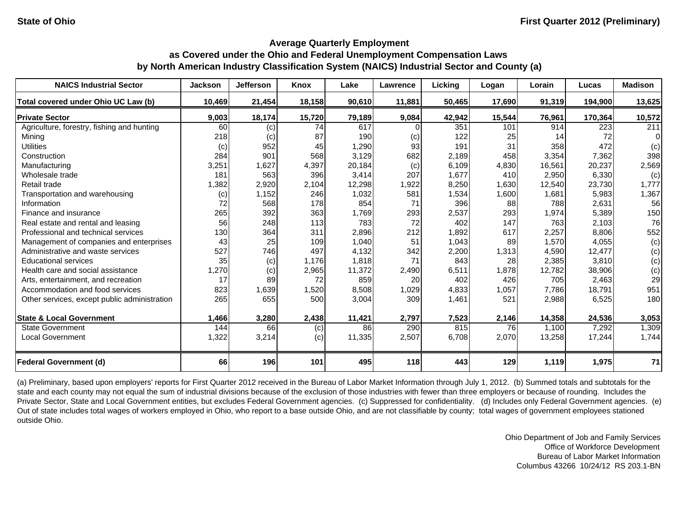| <b>NAICS Industrial Sector</b>               | <b>Jackson</b> | <b>Jefferson</b> | Knox   | Lake   | Lawrence | Licking | Logan  | Lorain | Lucas   | <b>Madison</b> |
|----------------------------------------------|----------------|------------------|--------|--------|----------|---------|--------|--------|---------|----------------|
| Total covered under Ohio UC Law (b)          | 10,469         | 21,454           | 18,158 | 90,610 | 11,881   | 50,465  | 17,690 | 91,319 | 194,900 | 13,625         |
| <b>Private Sector</b>                        | 9,003          | 18,174           | 15,720 | 79,189 | 9,084    | 42,942  | 15,544 | 76,961 | 170,364 | 10,572         |
| Agriculture, forestry, fishing and hunting   | 60             | (c)              | 74     | 617    |          | 351     | 101    | 914    | 223     | 211            |
| Mining                                       | 218            | (c)              | 87     | 190    | (c)      | 122     | 25     | 14     | 72      | $\Omega$       |
| <b>Utilities</b>                             | (c)            | 952              | 45     | 1,290  | 93       | 191     | 31     | 358    | 472     | (c)            |
| Construction                                 | 284            | 901              | 568    | 3,129  | 682      | 2,189   | 458    | 3,354  | 7,362   | 398            |
| Manufacturing                                | 3,251          | 1,627            | 4,397  | 20,184 | (c)      | 6,109   | 4,830  | 16,561 | 20,237  | 2,569          |
| Wholesale trade                              | 181            | 563              | 396    | 3,414  | 207      | 1,677   | 410    | 2,950  | 6,330   | (c)            |
| Retail trade                                 | 1,382          | 2,920            | 2,104  | 12,298 | 1,922    | 8,250   | 1,630  | 12,540 | 23,730  | 1,777          |
| Transportation and warehousing               | (c)            | 1,152            | 246    | 1,032  | 581      | 1,534   | 1,600  | 1,681  | 5,983   | 1,367          |
| Information                                  | 72             | 568              | 178    | 854    | 71       | 396     | 88     | 788    | 2,631   | 56             |
| Finance and insurance                        | 265            | 392              | 363    | 1,769  | 293      | 2,537   | 293    | 1,974  | 5,389   | 150            |
| Real estate and rental and leasing           | 56             | 248              | 113    | 783    | 72       | 402     | 147    | 763    | 2,103   | 76             |
| Professional and technical services          | 130            | 364              | 311    | 2,896  | 212      | 1,892   | 617    | 2,257  | 8,806   | 552            |
| Management of companies and enterprises      | 43             | 25               | 109    | 1,040  | 51       | 1,043   | 89     | 1,570  | 4,055   | (c)            |
| Administrative and waste services            | 527            | 746              | 497    | 4.132  | 342      | 2,200   | 1,313  | 4,590  | 12.477  | (c)            |
| <b>Educational services</b>                  | 35             | (c)              | 1,176  | 1,818  | 71       | 843     | 28     | 2,385  | 3,810   | (c)            |
| Health care and social assistance            | 1,270          | (c)              | 2,965  | 11,372 | 2,490    | 6,511   | 1,878  | 12,782 | 38,906  | (c)            |
| Arts, entertainment, and recreation          | 17             | 89               | 72     | 859    | 20       | 402     | 426    | 705    | 2,463   | 29             |
| Accommodation and food services              | 823            | 1,639            | 1,520  | 8,508  | 1,029    | 4,833   | 1,057  | 7,786  | 18,791  | 951            |
| Other services, except public administration | 265            | 655              | 500    | 3,004  | 309      | 1,461   | 521    | 2,988  | 6,525   | 180            |
| <b>State &amp; Local Government</b>          | 1,466          | 3,280            | 2,438  | 11,421 | 2,797    | 7,523   | 2,146  | 14,358 | 24,536  | 3,053          |
| <b>State Government</b>                      | 144            | 66               | (c)    | 86     | 290      | 815     | 76     | 1,100  | 7,292   | 1,309          |
| <b>Local Government</b>                      | 1,322          | 3,214            | (c)    | 11,335 | 2,507    | 6,708   | 2,070  | 13,258 | 17,244  | 1,744          |
| <b>Federal Government (d)</b>                | 66             | 196              | 101    | 495    | 118      | 443     | 129    | 1,119  | 1,975   | 71             |

(a) Preliminary, based upon employers' reports for First Quarter 2012 received in the Bureau of Labor Market Information through July 1, 2012. (b) Summed totals and subtotals for the state and each county may not equal the sum of industrial divisions because of the exclusion of those industries with fewer than three employers or because of rounding. Includes the Private Sector, State and Local Government entities, but excludes Federal Government agencies. (c) Suppressed for confidentiality. (d) Includes only Federal Government agencies. (e) Out of state includes total wages of workers employed in Ohio, who report to a base outside Ohio, and are not classifiable by county; total wages of government employees stationed outside Ohio.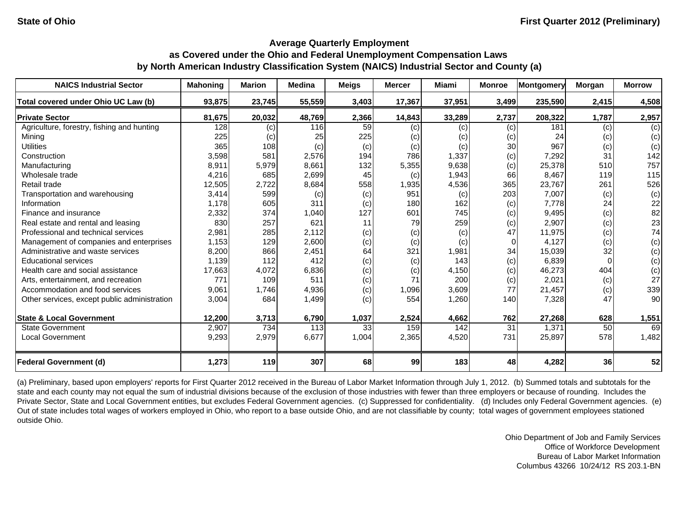| <b>NAICS Industrial Sector</b>               | <b>Mahoning</b> | <b>Marion</b> | <b>Medina</b> | <b>Meigs</b> | <b>Mercer</b> | Miami  | <b>Monroe</b> | <b>Montgomery</b> | Morgan | <b>Morrow</b> |
|----------------------------------------------|-----------------|---------------|---------------|--------------|---------------|--------|---------------|-------------------|--------|---------------|
| Total covered under Ohio UC Law (b)          | 93,875          | 23,745        | 55,559        | 3,403        | 17,367        | 37,951 | 3,499         | 235,590           | 2,415  | 4,508         |
| <b>Private Sector</b>                        | 81,675          | 20,032        | 48,769        | 2,366        | 14,843        | 33,289 | 2,737         | 208,322           | 1,787  | 2,957         |
| Agriculture, forestry, fishing and hunting   | 128             | (c)           | 116           | 59           | (c)           | (c)    | (c)           | 181               | (c)    | (c)           |
| Mining                                       | 225             | (c)           | 25            | 225          | (c)           | (c)    | (c)           | 24                | (c)    | (c)           |
| <b>Utilities</b>                             | 365             | 108           | (c)           | (c)          | (c)           | (c)    | 30            | 967               | (c)    | (c)           |
| Construction                                 | 3,598           | 581           | 2,576         | 194          | 786           | 1,337  | (c)           | 7,292             | 31     | 142           |
| Manufacturing                                | 8,911           | 5,979         | 8,661         | 132          | 5,355         | 9,638  | (c)           | 25,378            | 510    | 757           |
| Wholesale trade                              | 4,216           | 685           | 2,699         | 45           | (c)           | 1,943  | 66            | 8,467             | 119    | 115           |
| Retail trade                                 | 12,505          | 2,722         | 8,684         | 558          | 1,935         | 4,536  | 365           | 23,767            | 261    | 526           |
| Transportation and warehousing               | 3,414           | 599           | (c)           | (c)          | 951           | (c)    | 203           | 7,007             | (c)    | (c)           |
| Information                                  | 1.178           | 605           | 311           | (c)          | 180           | 162    | (c)           | 7,778             | 24     | 22            |
| Finance and insurance                        | 2,332           | 374           | 1,040         | 127          | 601           | 745    | (c)           | 9,495             | (c)    | 82            |
| Real estate and rental and leasing           | 830             | 257           | 621           | 11           | 79            | 259    | (c)           | 2,907             | (c)    | 23            |
| Professional and technical services          | 2,981           | 285           | 2,112         | (c)          | (c)           | (c)    | 47            | 11,975            | (c)    | 74            |
| Management of companies and enterprises      | 1,153           | 129           | 2,600         | (c)          | (c)           | (c)    | $\Omega$      | 4,127             | (c)    | (c)           |
| Administrative and waste services            | 8,200           | 866           | 2,451         | 64           | 321           | 1,981  | 34            | 15,039            | 32     | (c)           |
| <b>Educational services</b>                  | 1.139           | 112           | 412           | (c)          | (c)           | 143    | (c)           | 6,839             |        | (c)           |
| Health care and social assistance            | 17,663          | 4,072         | 6,836         | (c)          | (c)           | 4,150  | (c)           | 46,273            | 404    | (c)           |
| Arts, entertainment, and recreation          | 771             | 109           | 511           | (c)          | 71            | 200    | (c)           | 2,021             | (c)    | 27            |
| Accommodation and food services              | 9,061           | 1,746         | 4,936         | (c)          | 1,096         | 3,609  | 77            | 21,457            | (c)    | 339           |
| Other services, except public administration | 3,004           | 684           | 1,499         | (c)          | 554           | 1,260  | 140           | 7,328             | 47     | 90            |
| <b>State &amp; Local Government</b>          | 12,200          | 3,713         | 6,790         | 1,037        | 2,524         | 4,662  | 762           | 27,268            | 628    | 1,551         |
| <b>State Government</b>                      | 2,907           | 734           | 113           | 33           | 159           | 142    | 31            | 1,371             | 50     | 69            |
| <b>Local Government</b>                      | 9,293           | 2,979         | 6,677         | 1,004        | 2,365         | 4,520  | 731           | 25,897            | 578    | 1,482         |
| <b>Federal Government (d)</b>                | 1,273           | 119           | 307           | 68           | 99            | 183    | 48            | 4,282             | 36     | 52            |

(a) Preliminary, based upon employers' reports for First Quarter 2012 received in the Bureau of Labor Market Information through July 1, 2012. (b) Summed totals and subtotals for the state and each county may not equal the sum of industrial divisions because of the exclusion of those industries with fewer than three employers or because of rounding. Includes the Private Sector, State and Local Government entities, but excludes Federal Government agencies. (c) Suppressed for confidentiality. (d) Includes only Federal Government agencies. (e) Out of state includes total wages of workers employed in Ohio, who report to a base outside Ohio, and are not classifiable by county; total wages of government employees stationed outside Ohio.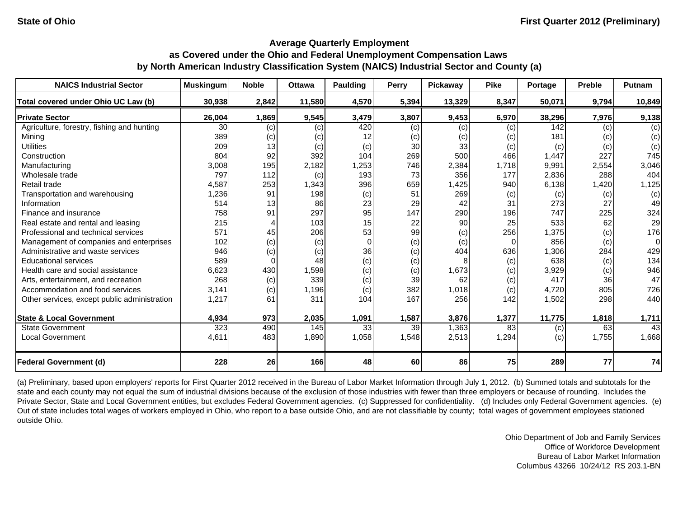| <b>NAICS Industrial Sector</b>               | <b>Muskingum</b> | <b>Noble</b> | <b>Ottawa</b> | Paulding | <b>Perry</b> | Pickaway | <b>Pike</b> | Portage | <b>Preble</b> | <b>Putnam</b> |
|----------------------------------------------|------------------|--------------|---------------|----------|--------------|----------|-------------|---------|---------------|---------------|
| Total covered under Ohio UC Law (b)          | 30,938           | 2,842        | 11,580        | 4,570    | 5,394        | 13,329   | 8,347       | 50,071  | 9,794         | 10,849        |
| <b>Private Sector</b>                        | 26,004           | 1,869        | 9,545         | 3,479    | 3,807        | 9,453    | 6,970       | 38,296  | 7,976         | 9,138         |
| Agriculture, forestry, fishing and hunting   | 30               | (c)          | (c)           | 420      | (c)          | (c)      | (c)         | 142     | (c)           | (c)           |
| Mining                                       | 389              | (c)          | (c)           | 12       | (c)          | (c)      | (c)         | 181     | (c)           | (c)           |
| <b>Utilities</b>                             | 209              | 13           | (c)           | (c)      | 30           | 33       | (c)         | (c)     | (c)           | (c)           |
| Construction                                 | 804              | 92           | 392           | 104      | 269          | 500      | 466         | 1,447   | 227           | 745           |
| Manufacturing                                | 3,008            | 195          | 2,182         | 1,253    | 746          | 2,384    | 1,718       | 9,991   | 2,554         | 3,046         |
| Wholesale trade                              | 797              | 112          | (c)           | 193      | 73           | 356      | 177         | 2,836   | 288           | 404           |
| Retail trade                                 | 4,587            | 253          | 1,343         | 396      | 659          | 1,425    | 940         | 6,138   | 1,420         | 1,125         |
| Transportation and warehousing               | 1,236            | 91           | 198           | (c)      | 51           | 269      | (c)         | (c)     | (c)           | (c)           |
| Information                                  | 514              | 13           | 86            | 23       | 29           | 42       | 31          | 273     | 27            | 49            |
| Finance and insurance                        | 758              | 91           | 297           | 95       | 147          | 290      | 196         | 747     | 225           | 324           |
| Real estate and rental and leasing           | 215              |              | 103           | 15       | 22           | 90       | 25          | 533     | 62            | 29            |
| Professional and technical services          | 571              | 45           | 206           | 53       | 99           | (c)      | 256         | 1,375   | (c)           | 176           |
| Management of companies and enterprises      | 102              | (c)          | (c)           | $\Omega$ | (c)          | (c)      | $\Omega$    | 856     | (c)           | $\Omega$      |
| Administrative and waste services            | 946              | (c)          | (c)           | 36       | (c)          | 404      | 636         | 1,306   | 284           | 429           |
| <b>Educational services</b>                  | 589              | $\Omega$     | 48            | (c)      | (c)          |          | (c)         | 638     | (c)           | 134           |
| Health care and social assistance            | 6,623            | 430          | 1,598         | (c)      | (c)          | 1,673    | (c)         | 3,929   | (c)           | 946           |
| Arts, entertainment, and recreation          | 268              | (c)          | 339           | (c)      | 39           | 62       | (c)         | 417     | 36            | 47            |
| Accommodation and food services              | 3,141            | (c)          | 1,196         | (c)      | 382          | 1,018    | (c)         | 4,720   | 805           | 726           |
| Other services, except public administration | 1,217            | 61           | 311           | 104      | 167          | 256      | 142         | 1,502   | 298           | 440           |
| <b>State &amp; Local Government</b>          | 4,934            | 973          | 2,035         | 1,091    | 1,587        | 3,876    | 1,377       | 11,775  | 1,818         | 1,711         |
| <b>State Government</b>                      | 323              | 490          | 145           | 33       | 39           | 1,363    | 83          | (c)     | 63            | 43            |
| <b>Local Government</b>                      | 4,611            | 483          | 1,890         | 1,058    | 1,548        | 2,513    | 1,294       | (c)     | 1,755         | 1,668         |
| <b>Federal Government (d)</b>                | 228              | 26           | 166           | 48       | 60           | 86       | 75          | 289     | 77            | 74            |

(a) Preliminary, based upon employers' reports for First Quarter 2012 received in the Bureau of Labor Market Information through July 1, 2012. (b) Summed totals and subtotals for the state and each county may not equal the sum of industrial divisions because of the exclusion of those industries with fewer than three employers or because of rounding. Includes the Private Sector, State and Local Government entities, but excludes Federal Government agencies. (c) Suppressed for confidentiality. (d) Includes only Federal Government agencies. (e) Out of state includes total wages of workers employed in Ohio, who report to a base outside Ohio, and are not classifiable by county; total wages of government employees stationed outside Ohio.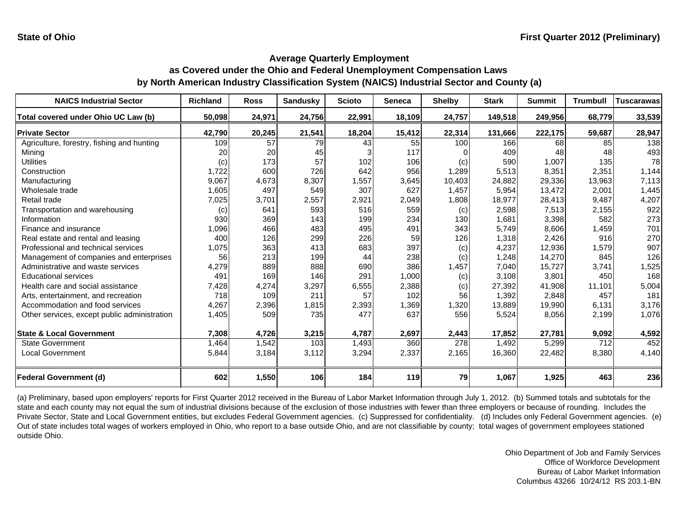| <b>NAICS Industrial Sector</b>               | <b>Richland</b> | <b>Ross</b> | <b>Sandusky</b> | <b>Scioto</b> | <b>Seneca</b> | <b>Shelby</b> | <b>Stark</b> | <b>Summit</b> | <b>Trumbull</b> | <b>Tuscarawas</b> |
|----------------------------------------------|-----------------|-------------|-----------------|---------------|---------------|---------------|--------------|---------------|-----------------|-------------------|
| Total covered under Ohio UC Law (b)          | 50,098          | 24,971      | 24,756          | 22,991        | 18,109        | 24,757        | 149,518      | 249,956       | 68,779          | 33,539            |
| <b>Private Sector</b>                        | 42,790          | 20,245      | 21,541          | 18,204        | 15,412        | 22,314        | 131,666      | 222,175       | 59,687          | 28,947            |
| Agriculture, forestry, fishing and hunting   | 109             | 57          | 79              | 43            | 55            | 100           | 166          | 68            | 85              | 138               |
| Minina                                       | 20              | 20          | 45              |               | 117           |               | 409          | 48            | 48              | 493               |
| <b>Utilities</b>                             | (c)             | 173         | 57              | 102           | 106           | (c)           | 590          | 1.007         | 135             | 78                |
| Construction                                 | 1,722           | 600         | 726             | 642           | 956           | 1,289         | 5,513        | 8,351         | 2,351           | 1,144             |
| Manufacturing                                | 9,067           | 4,673       | 8,307           | 1,557         | 3,645         | 10,403        | 24,882       | 29,336        | 13,963          | 7,113             |
| Wholesale trade                              | 1,605           | 497         | 549             | 307           | 627           | 1,457         | 5,954        | 13,472        | 2,001           | 1,445             |
| Retail trade                                 | 7,025           | 3,701       | 2,557           | 2,921         | 2,049         | 1,808         | 18,977       | 28,413        | 9,487           | 4,207             |
| Transportation and warehousing               | (c)             | 641         | 593             | 516           | 559           | (c)           | 2,598        | 7,513         | 2,155           | 922               |
| Information                                  | 930             | 369         | 143             | 199           | 234           | 130           | 1,681        | 3,398         | 582             | 273               |
| Finance and insurance                        | 1,096           | 466         | 483             | 495           | 491           | 343           | 5,749        | 8,606         | 1,459           | 701               |
| Real estate and rental and leasing           | 400             | 126         | 299             | 226           | 59            | 126           | 1,318        | 2,426         | 916             | 270               |
| Professional and technical services          | 1,075           | 363         | 413             | 683           | 397           | (c)           | 4,237        | 12,936        | 1,579           | 907               |
| Management of companies and enterprises      | 56              | 213         | 199             | 44            | 238           | (c)           | 1,248        | 14,270        | 845             | 126               |
| Administrative and waste services            | 4,279           | 889         | 888             | 690           | 386           | 1,457         | 7,040        | 15,727        | 3,741           | 1,525             |
| <b>Educational services</b>                  | 491             | 169         | 146             | 291           | 1,000         | (c)           | 3,108        | 3,801         | 450             | 168               |
| Health care and social assistance            | 7,428           | 4,274       | 3,297           | 6,555         | 2,388         | (c)           | 27,392       | 41,908        | 11,101          | 5,004             |
| Arts, entertainment, and recreation          | 718             | 109         | 211             | 57            | 102           | 56            | 1,392        | 2,848         | 457             | 181               |
| Accommodation and food services              | 4,267           | 2,396       | 1,815           | 2,393         | 1,369         | 1,320         | 13,889       | 19,990        | 6,131           | 3,176             |
| Other services, except public administration | 1,405           | 509         | 735             | 477           | 637           | 556           | 5,524        | 8,056         | 2,199           | 1,076             |
| <b>State &amp; Local Government</b>          | 7,308           | 4,726       | 3,215           | 4,787         | 2,697         | 2,443         | 17,852       | 27,781        | 9,092           | 4,592             |
| <b>State Government</b>                      | 1,464           | 1,542       | 103             | 1,493         | 360           | 278           | 1,492        | 5,299         | 712             | 452               |
| <b>Local Government</b>                      | 5,844           | 3,184       | 3,112           | 3,294         | 2,337         | 2,165         | 16,360       | 22,482        | 8,380           | 4,140             |
|                                              |                 |             |                 |               |               |               |              |               |                 |                   |
| <b>Federal Government (d)</b>                | 602             | 1,550       | 106             | 184           | 119           | 79            | 1,067        | 1,925         | 463             | 236               |

(a) Preliminary, based upon employers' reports for First Quarter 2012 received in the Bureau of Labor Market Information through July 1, 2012. (b) Summed totals and subtotals for the state and each county may not equal the sum of industrial divisions because of the exclusion of those industries with fewer than three employers or because of rounding. Includes the Private Sector, State and Local Government entities, but excludes Federal Government agencies. (c) Suppressed for confidentiality. (d) Includes only Federal Government agencies. (e) Out of state includes total wages of workers employed in Ohio, who report to a base outside Ohio, and are not classifiable by county; total wages of government employees stationed outside Ohio.